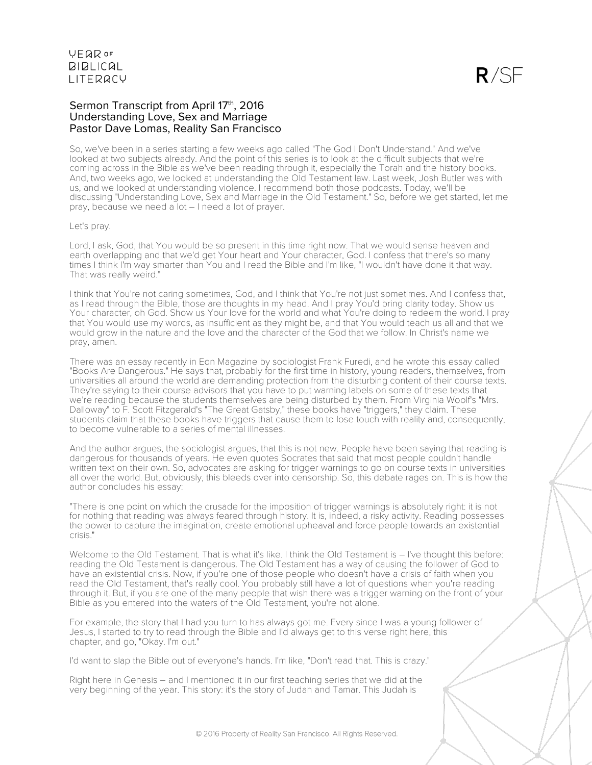### Sermon Transcript from April 17th, 2016 Understanding Love, Sex and Marriage Pastor Dave Lomas, Reality San Francisco

So, we've been in a series starting a few weeks ago called "The God I Don't Understand." And we've looked at two subjects already. And the point of this series is to look at the difficult subjects that we're coming across in the Bible as we've been reading through it, especially the Torah and the history books. And, two weeks ago, we looked at understanding the Old Testament law. Last week, Josh Butler was with us, and we looked at understanding violence. I recommend both those podcasts. Today, we'll be discussing "Understanding Love, Sex and Marriage in the Old Testament." So, before we get started, let me pray, because we need a lot – I need a lot of prayer.

#### Let's pray.

Lord, I ask, God, that You would be so present in this time right now. That we would sense heaven and earth overlapping and that we'd get Your heart and Your character, God. I confess that there's so many times I think I'm way smarter than You and I read the Bible and I'm like, "I wouldn't have done it that way. That was really weird."

I think that You're not caring sometimes, God, and I think that You're not just sometimes. And I confess that, as I read through the Bible, those are thoughts in my head. And I pray You'd bring clarity today. Show us Your character, oh God. Show us Your love for the world and what You're doing to redeem the world. I pray that You would use my words, as insufficient as they might be, and that You would teach us all and that we would grow in the nature and the love and the character of the God that we follow. In Christ's name we pray, amen.

There was an essay recently in Eon Magazine by sociologist Frank Furedi, and he wrote this essay called "Books Are Dangerous." He says that, probably for the first time in history, young readers, themselves, from universities all around the world are demanding protection from the disturbing content of their course texts. They're saying to their course advisors that you have to put warning labels on some of these texts that we're reading because the students themselves are being disturbed by them. From Virginia Woolf's "Mrs. Dalloway" to F. Scott Fitzgerald's "The Great Gatsby," these books have "triggers," they claim. These students claim that these books have triggers that cause them to lose touch with reality and, consequently, to become vulnerable to a series of mental illnesses.

And the author argues, the sociologist argues, that this is not new. People have been saying that reading is dangerous for thousands of years. He even quotes Socrates that said that most people couldn't handle written text on their own. So, advocates are asking for trigger warnings to go on course texts in universities all over the world. But, obviously, this bleeds over into censorship. So, this debate rages on. This is how the author concludes his essay:

"There is one point on which the crusade for the imposition of trigger warnings is absolutely right: it is not for nothing that reading was always feared through history. It is, indeed, a risky activity. Reading possesses the power to capture the imagination, create emotional upheaval and force people towards an existential crisis."

Welcome to the Old Testament. That is what it's like. I think the Old Testament is – I've thought this before: reading the Old Testament is dangerous. The Old Testament has a way of causing the follower of God to have an existential crisis. Now, if you're one of those people who doesn't have a crisis of faith when you read the Old Testament, that's really cool. You probably still have a lot of questions when you're reading through it. But, if you are one of the many people that wish there was a trigger warning on the front of your Bible as you entered into the waters of the Old Testament, you're not alone.

For example, the story that I had you turn to has always got me. Every since I was a young follower of Jesus, I started to try to read through the Bible and I'd always get to this verse right here, this chapter, and go, "Okay. I'm out."

I'd want to slap the Bible out of everyone's hands. I'm like, "Don't read that. This is crazy."

Right here in Genesis – and I mentioned it in our first teaching series that we did at the very beginning of the year. This story: it's the story of Judah and Tamar. This Judah is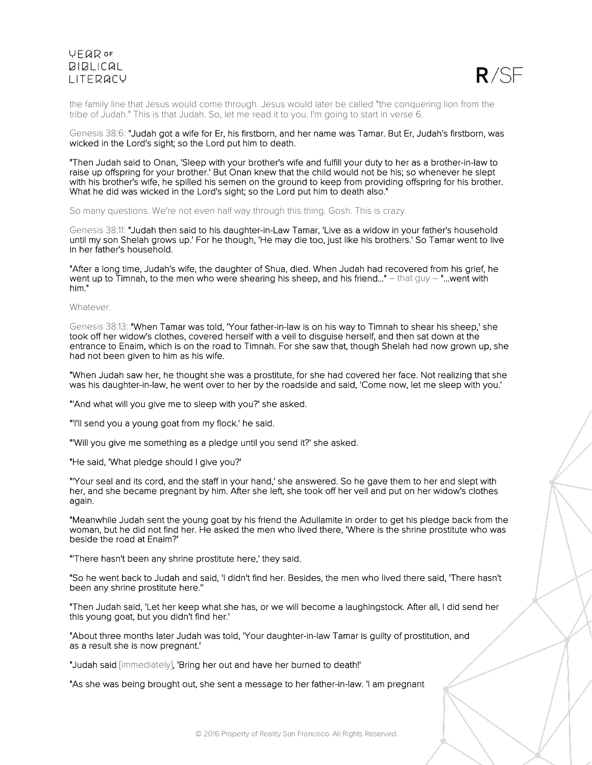

the family line that Jesus would come through. Jesus would later be called "the conquering lion from the tribe of Judah." This is that Judah. So, let me read it to you. I'm going to start in verse 6.

Genesis 38:6: "Judah got a wife for Er, his firstborn, and her name was Tamar. But Er, Judah's firstborn, was wicked in the Lord's sight; so the Lord put him to death.

"Then Judah said to Onan, 'Sleep with your brother's wife and fulfill your duty to her as a brother-in-law to raise up offspring for your brother.' But Onan knew that the child would not be his; so whenever he slept with his brother's wife, he spilled his semen on the ground to keep from providing offspring for his brother. What he did was wicked in the Lord's sight; so the Lord put him to death also."

So many questions. We're not even half way through this thing. Gosh. This is crazy.

Genesis 38:11: "Judah then said to his daughter-in-Law Tamar, 'Live as a widow in your father's household until my son Shelah grows up.' For he though, 'He may die too, just like his brothers.' So Tamar went to live in her father's household.

"After a long time, Judah's wife, the daughter of Shua, died. When Judah had recovered from his grief, he went up to Timnah, to the men who were shearing his sheep, and his friend..." – that guy – "...went with him."

Whatever.

Genesis 38:13: "When Tamar was told, 'Your father-in-law is on his way to Timnah to shear his sheep,' she took off her widow's clothes, covered herself with a veil to disguise herself, and then sat down at the entrance to Enaim, which is on the road to Timnah. For she saw that, though Shelah had now grown up, she had not been given to him as his wife.

"When Judah saw her, he thought she was a prostitute, for she had covered her face. Not realizing that she was his daughter-in-law, he went over to her by the roadside and said, 'Come now, let me sleep with you.'

"'And what will you give me to sleep with you?' she asked.

"'I'll send you a young goat from my flock.' he said.

"'Will you give me something as a pledge until you send it?' she asked.

"He said, 'What pledge should I give you?'

"'Your seal and its cord, and the staff in your hand,' she answered. So he gave them to her and slept with her, and she became pregnant by him. After she left, she took off her veil and put on her widow's clothes again.

"Meanwhile Judah sent the young goat by his friend the Adullamite in order to get his pledge back from the woman, but he did not find her. He asked the men who lived there, 'Where is the shrine prostitute who was beside the road at Enaim?'

"'There hasn't been any shrine prostitute here,' they said.

"So he went back to Judah and said, 'I didn't find her. Besides, the men who lived there said, 'There hasn't been any shrine prostitute here.''

"Then Judah said, 'Let her keep what she has, or we will become a laughingstock. After all, I did send her this young goat, but you didn't find her.'

"About three months later Judah was told, 'Your daughter-in-law Tamar is guilty of prostitution, and as a result she is now pregnant.'

"Judah said [immediately], 'Bring her out and have her burned to death!'

"As she was being brought out, she sent a message to her father-in-law. 'I am pregnant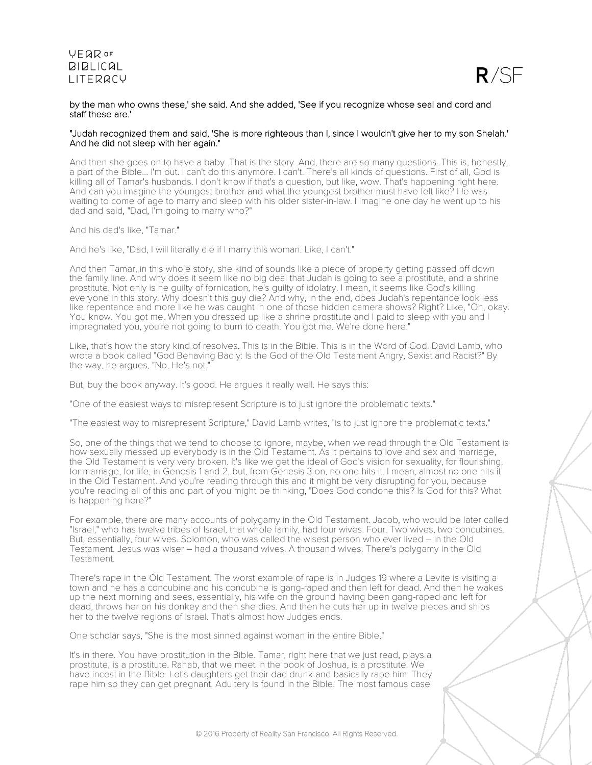

### by the man who owns these,' she said. And she added, 'See if you recognize whose seal and cord and staff these are.'

### "Judah recognized them and said, 'She is more righteous than I, since I wouldn't give her to my son Shelah.' And he did not sleep with her again."

And then she goes on to have a baby. That is the story. And, there are so many questions. This is, honestly, a part of the Bible... I'm out. I can't do this anymore. I can't. There's all kinds of questions. First of all, God is killing all of Tamar's husbands. I don't know if that's a question, but like, wow. That's happening right here. And can you imagine the youngest brother and what the youngest brother must have felt like? He was waiting to come of age to marry and sleep with his older sister-in-law. I imagine one day he went up to his dad and said, "Dad, I'm going to marry who?"

And his dad's like, "Tamar."

And he's like, "Dad, I will literally die if I marry this woman. Like, I can't."

And then Tamar, in this whole story, she kind of sounds like a piece of property getting passed off down the family line. And why does it seem like no big deal that Judah is going to see a prostitute, and a shrine prostitute. Not only is he guilty of fornication, he's guilty of idolatry. I mean, it seems like God's killing everyone in this story. Why doesn't this guy die? And why, in the end, does Judah's repentance look less like repentance and more like he was caught in one of those hidden camera shows? Right? Like, "Oh, okay. You know. You got me. When you dressed up like a shrine prostitute and I paid to sleep with you and I impregnated you, you're not going to burn to death. You got me. We're done here."

Like, that's how the story kind of resolves. This is in the Bible. This is in the Word of God. David Lamb, who wrote a book called "God Behaving Badly: Is the God of the Old Testament Angry, Sexist and Racist?" By the way, he argues, "No, He's not."

But, buy the book anyway. It's good. He argues it really well. He says this:

"One of the easiest ways to misrepresent Scripture is to just ignore the problematic texts."

"The easiest way to misrepresent Scripture," David Lamb writes, "is to just ignore the problematic texts."

So, one of the things that we tend to choose to ignore, maybe, when we read through the Old Testament is how sexually messed up everybody is in the Old Testament. As it pertains to love and sex and marriage, the Old Testament is very very broken. It's like we get the ideal of God's vision for sexuality, for flourishing, for marriage, for life, in Genesis 1 and 2, but, from Genesis 3 on, no one hits it. I mean, almost no one hits it in the Old Testament. And you're reading through this and it might be very disrupting for you, because you're reading all of this and part of you might be thinking, "Does God condone this? Is God for this? What is happening here?"

For example, there are many accounts of polygamy in the Old Testament. Jacob, who would be later called "Israel," who has twelve tribes of Israel, that whole family, had four wives. Four. Two wives, two concubines. But, essentially, four wives. Solomon, who was called the wisest person who ever lived – in the Old Testament. Jesus was wiser – had a thousand wives. A thousand wives. There's polygamy in the Old Testament.

There's rape in the Old Testament. The worst example of rape is in Judges 19 where a Levite is visiting a town and he has a concubine and his concubine is gang-raped and then left for dead. And then he wakes up the next morning and sees, essentially, his wife on the ground having been gang-raped and left for dead, throws her on his donkey and then she dies. And then he cuts her up in twelve pieces and ships her to the twelve regions of Israel. That's almost how Judges ends.

One scholar says, "She is the most sinned against woman in the entire Bible."

It's in there. You have prostitution in the Bible. Tamar, right here that we just read, plays a prostitute, is a prostitute. Rahab, that we meet in the book of Joshua, is a prostitute. We have incest in the Bible. Lot's daughters get their dad drunk and basically rape him. They rape him so they can get pregnant. Adultery is found in the Bible. The most famous case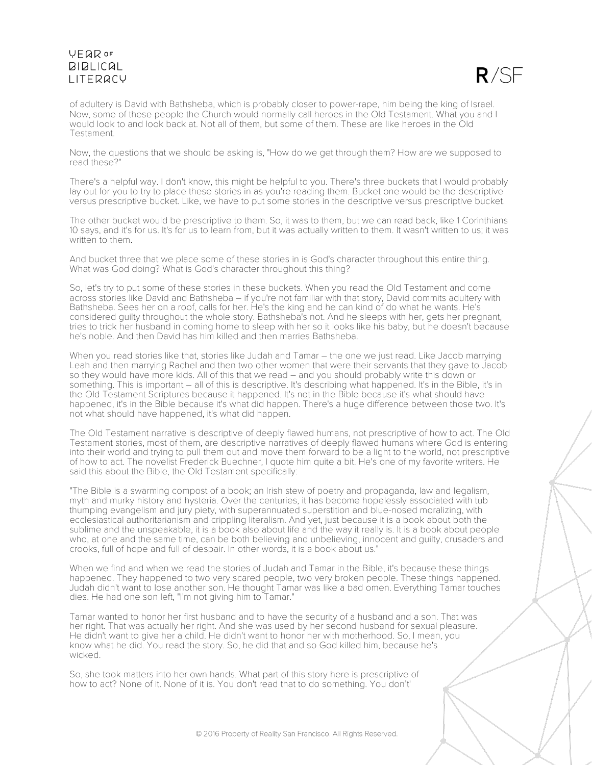

of adultery is David with Bathsheba, which is probably closer to power-rape, him being the king of Israel. Now, some of these people the Church would normally call heroes in the Old Testament. What you and I would look to and look back at. Not all of them, but some of them. These are like heroes in the Old Testament.

Now, the questions that we should be asking is, "How do we get through them? How are we supposed to read these?"

There's a helpful way. I don't know, this might be helpful to you. There's three buckets that I would probably lay out for you to try to place these stories in as you're reading them. Bucket one would be the descriptive versus prescriptive bucket. Like, we have to put some stories in the descriptive versus prescriptive bucket.

The other bucket would be prescriptive to them. So, it was to them, but we can read back, like 1 Corinthians 10 says, and it's for us. It's for us to learn from, but it was actually written to them. It wasn't written to us; it was written to them.

And bucket three that we place some of these stories in is God's character throughout this entire thing. What was God doing? What is God's character throughout this thing?

So, let's try to put some of these stories in these buckets. When you read the Old Testament and come across stories like David and Bathsheba – if you're not familiar with that story, David commits adultery with Bathsheba. Sees her on a roof, calls for her. He's the king and he can kind of do what he wants. He's considered guilty throughout the whole story. Bathsheba's not. And he sleeps with her, gets her pregnant, tries to trick her husband in coming home to sleep with her so it looks like his baby, but he doesn't because he's noble. And then David has him killed and then marries Bathsheba.

When you read stories like that, stories like Judah and Tamar – the one we just read. Like Jacob marrying Leah and then marrying Rachel and then two other women that were their servants that they gave to Jacob so they would have more kids. All of this that we read – and you should probably write this down or something. This is important – all of this is descriptive. It's describing what happened. It's in the Bible, it's in the Old Testament Scriptures because it happened. It's not in the Bible because it's what should have happened, it's in the Bible because it's what did happen. There's a huge difference between those two. It's not what should have happened, it's what did happen.

The Old Testament narrative is descriptive of deeply flawed humans, not prescriptive of how to act. The Old Testament stories, most of them, are descriptive narratives of deeply flawed humans where God is entering into their world and trying to pull them out and move them forward to be a light to the world, not prescriptive of how to act. The novelist Frederick Buechner, I quote him quite a bit. He's one of my favorite writers. He said this about the Bible, the Old Testament specifically:

"The Bible is a swarming compost of a book; an Irish stew of poetry and propaganda, law and legalism, myth and murky history and hysteria. Over the centuries, it has become hopelessly associated with tub thumping evangelism and jury piety, with superannuated superstition and blue-nosed moralizing, with ecclesiastical authoritarianism and crippling literalism. And yet, just because it is a book about both the sublime and the unspeakable, it is a book also about life and the way it really is. It is a book about people who, at one and the same time, can be both believing and unbelieving, innocent and guilty, crusaders and crooks, full of hope and full of despair. In other words, it is a book about us."

When we find and when we read the stories of Judah and Tamar in the Bible, it's because these things happened. They happened to two very scared people, two very broken people. These things happened. Judah didn't want to lose another son. He thought Tamar was like a bad omen. Everything Tamar touches dies. He had one son left, "I'm not giving him to Tamar."

Tamar wanted to honor her first husband and to have the security of a husband and a son. That was her right. That was actually her right. And she was used by her second husband for sexual pleasure. He didn't want to give her a child. He didn't want to honor her with motherhood. So, I mean, you know what he did. You read the story. So, he did that and so God killed him, because he's wicked.

So, she took matters into her own hands. What part of this story here is prescriptive of how to act? None of it. None of it is. You don't read that to do something. You don't'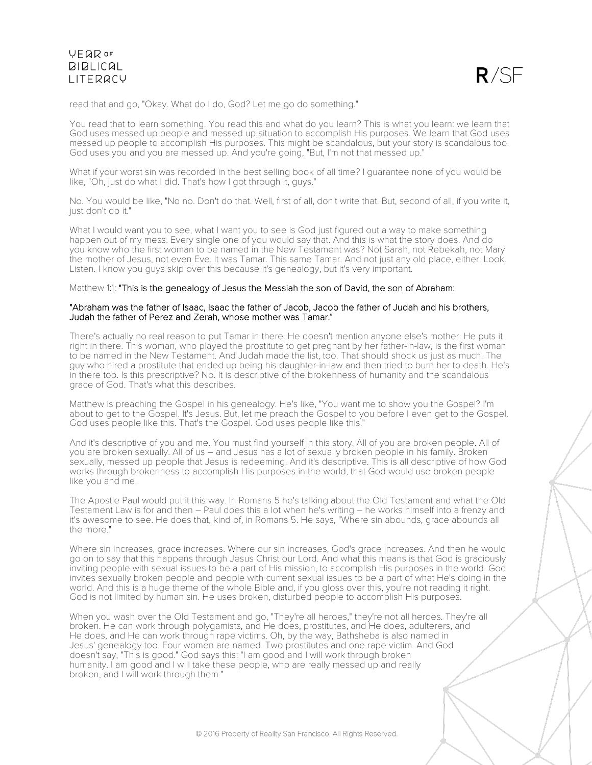

read that and go, "Okay. What do I do, God? Let me go do something."

You read that to learn something. You read this and what do you learn? This is what you learn: we learn that God uses messed up people and messed up situation to accomplish His purposes. We learn that God uses messed up people to accomplish His purposes. This might be scandalous, but your story is scandalous too. God uses you and you are messed up. And you're going, "But, I'm not that messed up."

What if your worst sin was recorded in the best selling book of all time? I guarantee none of you would be like, "Oh, just do what I did. That's how I got through it, guys."

No. You would be like, "No no. Don't do that. Well, first of all, don't write that. But, second of all, if you write it, just don't do it."

What I would want you to see, what I want you to see is God just figured out a way to make something happen out of my mess. Every single one of you would say that. And this is what the story does. And do you know who the first woman to be named in the New Testament was? Not Sarah, not Rebekah, not Mary the mother of Jesus, not even Eve. It was Tamar. This same Tamar. And not just any old place, either. Look. Listen. I know you guys skip over this because it's genealogy, but it's very important.

#### Matthew 1:1: "This is the genealogy of Jesus the Messiah the son of David, the son of Abraham:

#### "Abraham was the father of Isaac, Isaac the father of Jacob, Jacob the father of Judah and his brothers, Judah the father of Perez and Zerah, whose mother was Tamar."

There's actually no real reason to put Tamar in there. He doesn't mention anyone else's mother. He puts it right in there. This woman, who played the prostitute to get pregnant by her father-in-law, is the first woman to be named in the New Testament. And Judah made the list, too. That should shock us just as much. The guy who hired a prostitute that ended up being his daughter-in-law and then tried to burn her to death. He's in there too. Is this prescriptive? No. It is descriptive of the brokenness of humanity and the scandalous grace of God. That's what this describes.

Matthew is preaching the Gospel in his genealogy. He's like, "You want me to show you the Gospel? I'm about to get to the Gospel. It's Jesus. But, let me preach the Gospel to you before I even get to the Gospel. God uses people like this. That's the Gospel. God uses people like this."

And it's descriptive of you and me. You must find yourself in this story. All of you are broken people. All of you are broken sexually. All of us – and Jesus has a lot of sexually broken people in his family. Broken sexually, messed up people that Jesus is redeeming. And it's descriptive. This is all descriptive of how God works through brokenness to accomplish His purposes in the world, that God would use broken people like you and me.

The Apostle Paul would put it this way. In Romans 5 he's talking about the Old Testament and what the Old Testament Law is for and then – Paul does this a lot when he's writing – he works himself into a frenzy and it's awesome to see. He does that, kind of, in Romans 5. He says, "Where sin abounds, grace abounds all the more."

Where sin increases, grace increases. Where our sin increases, God's grace increases. And then he would go on to say that this happens through Jesus Christ our Lord. And what this means is that God is graciously inviting people with sexual issues to be a part of His mission, to accomplish His purposes in the world. God invites sexually broken people and people with current sexual issues to be a part of what He's doing in the world. And this is a huge theme of the whole Bible and, if you gloss over this, you're not reading it right. God is not limited by human sin. He uses broken, disturbed people to accomplish His purposes.

When you wash over the Old Testament and go, "They're all heroes," they're not all heroes. They're all broken. He can work through polygamists, and He does, prostitutes, and He does, adulterers, and He does, and He can work through rape victims. Oh, by the way, Bathsheba is also named in Jesus' genealogy too. Four women are named. Two prostitutes and one rape victim. And God doesn't say, "This is good." God says this: "I am good and I will work through broken humanity. I am good and I will take these people, who are really messed up and really broken, and I will work through them."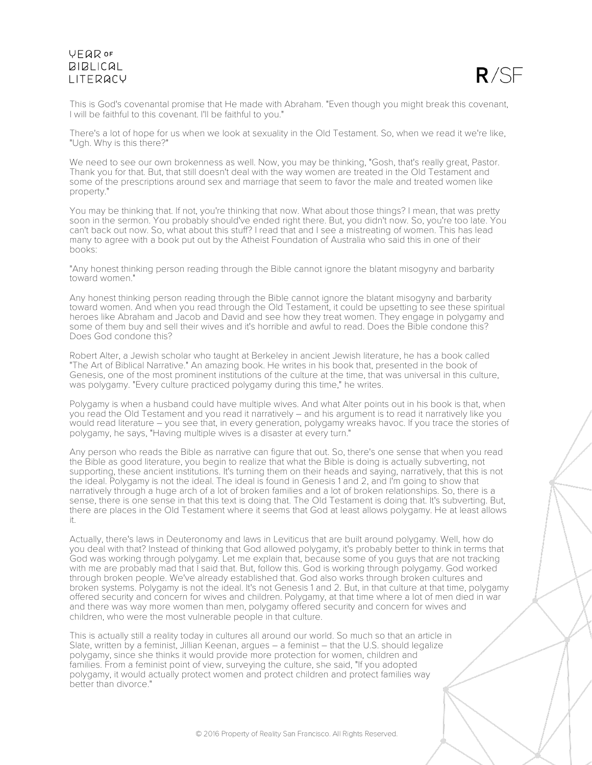

This is God's covenantal promise that He made with Abraham. "Even though you might break this covenant, I will be faithful to this covenant. I'll be faithful to you."

There's a lot of hope for us when we look at sexuality in the Old Testament. So, when we read it we're like, "Ugh. Why is this there?"

We need to see our own brokenness as well. Now, you may be thinking, "Gosh, that's really great, Pastor. Thank you for that. But, that still doesn't deal with the way women are treated in the Old Testament and some of the prescriptions around sex and marriage that seem to favor the male and treated women like property."

You may be thinking that. If not, you're thinking that now. What about those things? I mean, that was pretty soon in the sermon. You probably should've ended right there. But, you didn't now. So, you're too late. You can't back out now. So, what about this stuff? I read that and I see a mistreating of women. This has lead many to agree with a book put out by the Atheist Foundation of Australia who said this in one of their books:

"Any honest thinking person reading through the Bible cannot ignore the blatant misogyny and barbarity toward women."

Any honest thinking person reading through the Bible cannot ignore the blatant misogyny and barbarity toward women. And when you read through the Old Testament, it could be upsetting to see these spiritual heroes like Abraham and Jacob and David and see how they treat women. They engage in polygamy and some of them buy and sell their wives and it's horrible and awful to read. Does the Bible condone this? Does God condone this?

Robert Alter, a Jewish scholar who taught at Berkeley in ancient Jewish literature, he has a book called "The Art of Biblical Narrative." An amazing book. He writes in his book that, presented in the book of Genesis, one of the most prominent institutions of the culture at the time, that was universal in this culture, was polygamy. "Every culture practiced polygamy during this time," he writes.

Polygamy is when a husband could have multiple wives. And what Alter points out in his book is that, when you read the Old Testament and you read it narratively – and his argument is to read it narratively like you would read literature – you see that, in every generation, polygamy wreaks havoc. If you trace the stories of polygamy, he says, "Having multiple wives is a disaster at every turn."

Any person who reads the Bible as narrative can figure that out. So, there's one sense that when you read the Bible as good literature, you begin to realize that what the Bible is doing is actually subverting, not supporting, these ancient institutions. It's turning them on their heads and saying, narratively, that this is not the ideal. Polygamy is not the ideal. The ideal is found in Genesis 1 and 2, and I'm going to show that narratively through a huge arch of a lot of broken families and a lot of broken relationships. So, there is a sense, there is one sense in that this text is doing that. The Old Testament is doing that. It's subverting. But, there are places in the Old Testament where it seems that God at least allows polygamy. He at least allows it.

Actually, there's laws in Deuteronomy and laws in Leviticus that are built around polygamy. Well, how do you deal with that? Instead of thinking that God allowed polygamy, it's probably better to think in terms that God was working through polygamy. Let me explain that, because some of you guys that are not tracking with me are probably mad that I said that. But, follow this. God is working through polygamy. God worked through broken people. We've already established that. God also works through broken cultures and broken systems. Polygamy is not the ideal. It's not Genesis 1 and 2. But, in that culture at that time, polygamy offered security and concern for wives and children. Polygamy, at that time where a lot of men died in war and there was way more women than men, polygamy offered security and concern for wives and children, who were the most vulnerable people in that culture.

This is actually still a reality today in cultures all around our world. So much so that an article in Slate, written by a feminist, Jillian Keenan, argues – a feminist – that the U.S. should legalize polygamy, since she thinks it would provide more protection for women, children and families. From a feminist point of view, surveying the culture, she said, "If you adopted polygamy, it would actually protect women and protect children and protect families way better than divorce."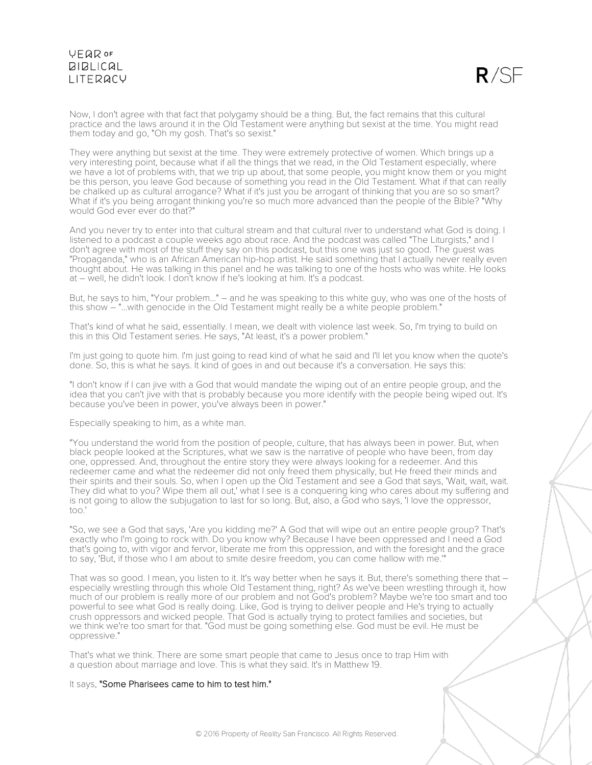

Now, I don't agree with that fact that polygamy should be a thing. But, the fact remains that this cultural practice and the laws around it in the Old Testament were anything but sexist at the time. You might read them today and go, "Oh my gosh. That's so sexist."

They were anything but sexist at the time. They were extremely protective of women. Which brings up a very interesting point, because what if all the things that we read, in the Old Testament especially, where we have a lot of problems with, that we trip up about, that some people, you might know them or you might be this person, you leave God because of something you read in the Old Testament. What if that can really be chalked up as cultural arrogance? What if it's just you be arrogant of thinking that you are so so smart? What if it's you being arrogant thinking you're so much more advanced than the people of the Bible? "Why would God ever ever do that?"

And you never try to enter into that cultural stream and that cultural river to understand what God is doing. I listened to a podcast a couple weeks ago about race. And the podcast was called "The Liturgists," and I don't agree with most of the stuff they say on this podcast, but this one was just so good. The guest was "Propaganda," who is an African American hip-hop artist. He said something that I actually never really even thought about. He was talking in this panel and he was talking to one of the hosts who was white. He looks at – well, he didn't look. I don't know if he's looking at him. It's a podcast.

But, he says to him, "Your problem..." – and he was speaking to this white guy, who was one of the hosts of this show – "...with genocide in the Old Testament might really be a white people problem."

That's kind of what he said, essentially. I mean, we dealt with violence last week. So, I'm trying to build on this in this Old Testament series. He says, "At least, it's a power problem."

I'm just going to quote him. I'm just going to read kind of what he said and I'll let you know when the quote's done. So, this is what he says. It kind of goes in and out because it's a conversation. He says this:

"I don't know if I can jive with a God that would mandate the wiping out of an entire people group, and the idea that you can't jive with that is probably because you more identify with the people being wiped out. It's because you've been in power, you've always been in power."

Especially speaking to him, as a white man.

"You understand the world from the position of people, culture, that has always been in power. But, when black people looked at the Scriptures, what we saw is the narrative of people who have been, from day one, oppressed. And, throughout the entire story they were always looking for a redeemer. And this redeemer came and what the redeemer did not only freed them physically, but He freed their minds and their spirits and their souls. So, when I open up the Old Testament and see a God that says, 'Wait, wait, wait. They did what to you? Wipe them all out,' what I see is a conquering king who cares about my suffering and is not going to allow the subjugation to last for so long. But, also, a God who says, 'I love the oppressor, too.'

"So, we see a God that says, 'Are you kidding me?' A God that will wipe out an entire people group? That's exactly who I'm going to rock with. Do you know why? Because I have been oppressed and I need a God that's going to, with vigor and fervor, liberate me from this oppression, and with the foresight and the grace to say, 'But, if those who I am about to smite desire freedom, you can come hallow with me.'"

That was so good. I mean, you listen to it. It's way better when he says it. But, there's something there that especially wrestling through this whole Old Testament thing, right? As we've been wrestling through it, how much of our problem is really more of our problem and not God's problem? Maybe we're too smart and too powerful to see what God is really doing. Like, God is trying to deliver people and He's trying to actually crush oppressors and wicked people. That God is actually trying to protect families and societies, but we think we're too smart for that. "God must be going something else. God must be evil. He must be oppressive."

That's what we think. There are some smart people that came to Jesus once to trap Him with a question about marriage and love. This is what they said. It's in Matthew 19.

### It says, "Some Pharisees came to him to test him."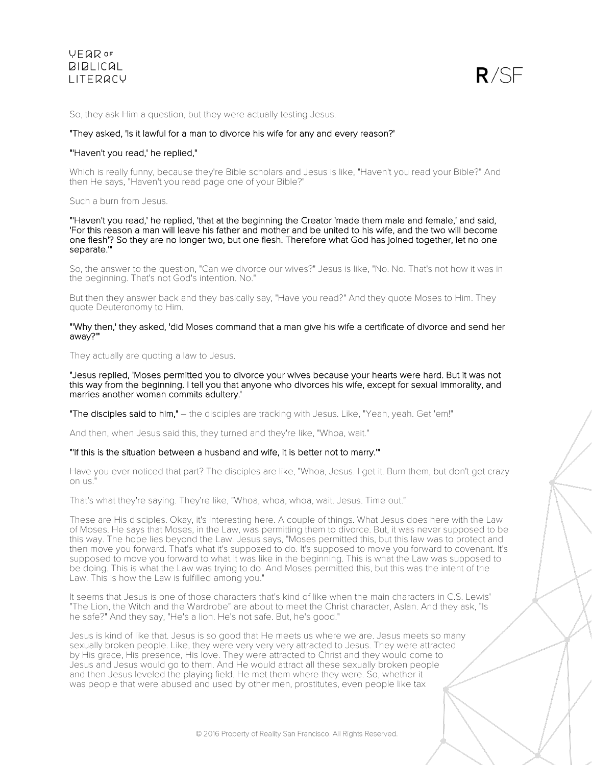



So, they ask Him a question, but they were actually testing Jesus.

#### "They asked, 'Is it lawful for a man to divorce his wife for any and every reason?'

#### "'Haven't you read,' he replied,"

Which is really funny, because they're Bible scholars and Jesus is like, "Haven't you read your Bible?" And then He says, "Haven't you read page one of your Bible?"

Such a burn from Jesus.

"'Haven't you read,' he replied, 'that at the beginning the Creator 'made them male and female,' and said, 'For this reason a man will leave his father and mother and be united to his wife, and the two will become one flesh'? So they are no longer two, but one flesh. Therefore what God has joined together, let no one separate.'"

So, the answer to the question, "Can we divorce our wives?" Jesus is like, "No. No. That's not how it was in the beginning. That's not God's intention. No."

But then they answer back and they basically say, "Have you read?" And they quote Moses to Him. They quote Deuteronomy to Him.

"'Why then,' they asked, 'did Moses command that a man give his wife a certificate of divorce and send her away?'"

They actually are quoting a law to Jesus.

"Jesus replied, 'Moses permitted you to divorce your wives because your hearts were hard. But it was not this way from the beginning. I tell you that anyone who divorces his wife, except for sexual immorality, and marries another woman commits adultery.'

"The disciples said to him," – the disciples are tracking with Jesus. Like, "Yeah, yeah. Get 'em!"

And then, when Jesus said this, they turned and they're like, "Whoa, wait."

#### "'If this is the situation between a husband and wife, it is better not to marry.'"

Have you ever noticed that part? The disciples are like, "Whoa, Jesus. I get it. Burn them, but don't get crazy on us."

That's what they're saying. They're like, "Whoa, whoa, whoa, wait. Jesus. Time out."

These are His disciples. Okay, it's interesting here. A couple of things. What Jesus does here with the Law of Moses. He says that Moses, in the Law, was permitting them to divorce. But, it was never supposed to be this way. The hope lies beyond the Law. Jesus says, "Moses permitted this, but this law was to protect and then move you forward. That's what it's supposed to do. It's supposed to move you forward to covenant. It's supposed to move you forward to what it was like in the beginning. This is what the Law was supposed to be doing. This is what the Law was trying to do. And Moses permitted this, but this was the intent of the Law. This is how the Law is fulfilled among you."

It seems that Jesus is one of those characters that's kind of like when the main characters in C.S. Lewis' "The Lion, the Witch and the Wardrobe" are about to meet the Christ character, Aslan. And they ask, "Is he safe?" And they say, "He's a lion. He's not safe. But, he's good."

Jesus is kind of like that. Jesus is so good that He meets us where we are. Jesus meets so many sexually broken people. Like, they were very very very attracted to Jesus. They were attracted by His grace, His presence, His love. They were attracted to Christ and they would come to Jesus and Jesus would go to them. And He would attract all these sexually broken people and then Jesus leveled the playing field. He met them where they were. So, whether it was people that were abused and used by other men, prostitutes, even people like tax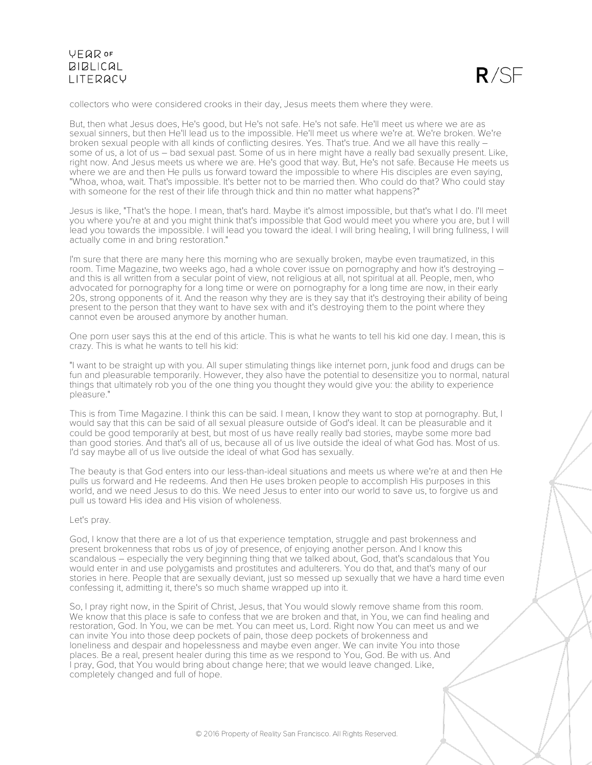

collectors who were considered crooks in their day, Jesus meets them where they were.

But, then what Jesus does, He's good, but He's not safe. He's not safe. He'll meet us where we are as sexual sinners, but then He'll lead us to the impossible. He'll meet us where we're at. We're broken. We're broken sexual people with all kinds of conflicting desires. Yes. That's true. And we all have this really – some of us, a lot of us – bad sexual past. Some of us in here might have a really bad sexually present. Like, right now. And Jesus meets us where we are. He's good that way. But, He's not safe. Because He meets us where we are and then He pulls us forward toward the impossible to where His disciples are even saying, "Whoa, whoa, wait. That's impossible. It's better not to be married then. Who could do that? Who could stay with someone for the rest of their life through thick and thin no matter what happens?"

Jesus is like, "That's the hope. I mean, that's hard. Maybe it's almost impossible, but that's what I do. I'll meet you where you're at and you might think that's impossible that God would meet you where you are, but I will lead you towards the impossible. I will lead you toward the ideal. I will bring healing, I will bring fullness, I will actually come in and bring restoration."

I'm sure that there are many here this morning who are sexually broken, maybe even traumatized, in this room. Time Magazine, two weeks ago, had <sup>a</sup> whole cover issue on pornography and how it's destroying – and this is all written from <sup>a</sup> secular point of view, not religious at all, not spiritual at all. People, men, who advocated for pornography for a long time or were on pornography for a long time are now, in their early 20s, strong opponents of it. And the reason why they are is they say that it's destroying their ability of being present to the person that they want to have sex with and it's destroying them to the point where they cannot even be aroused anymore by another human.

One porn user says this at the end of this article. This is what he wants to tell his kid one day. I mean, this is crazy. This is what he wants to tell his kid:

"I want to be straight up with you. All super stimulating things like internet porn, junk food and drugs can be fun and pleasurable temporarily. However, they also have the potential to desensitize you to normal, natural things that ultimately rob you of the one thing you thought they would give you: the ability to experience pleasure."

This is from Time Magazine. I think this can be said. I mean, I know they want to stop at pornography. But, I would say that this can be said of all sexual pleasure outside of God's ideal. It can be pleasurable and it could be good temporarily at best, but most of us have really really bad stories, maybe some more bad than good stories. And that's all of us, because all of us live outside the ideal of what God has. Most of us. I'd say maybe all of us live outside the ideal of what God has sexually.

The beauty is that God enters into our less-than-ideal situations and meets us where we're at and then He pulls us forward and He redeems. And then He uses broken people to accomplish His purposes in this world, and we need Jesus to do this. We need Jesus to enter into our world to save us, to forgive us and pull us toward His idea and His vision of wholeness.

#### Let's pray.

God, I know that there are a lot of us that experience temptation, struggle and past brokenness and present brokenness that robs us of joy of presence, of enjoying another person. And I know this scandalous – especially the very beginning thing that we talked about, God, that's scandalous that You would enter in and use polygamists and prostitutes and adulterers. You do that, and that's many of our stories in here. People that are sexually deviant, just so messed up sexually that we have a hard time even confessing it, admitting it, there's so much shame wrapped up into it.

So, I pray right now, in the Spirit of Christ, Jesus, that You would slowly remove shame from this room. We know that this place is safe to confess that we are broken and that, in You, we can find healing and restoration, God. In You, we can be met. You can meet us, Lord. Right now You can meet us and we can invite You into those deep pockets of pain, those deep pockets of brokenness and loneliness and despair and hopelessness and maybe even anger. We can invite You into those places. Be a real, present healer during this time as we respond to You, God. Be with us. And I pray, God, that You would bring about change here; that we would leave changed. Like, completely changed and full of hope.